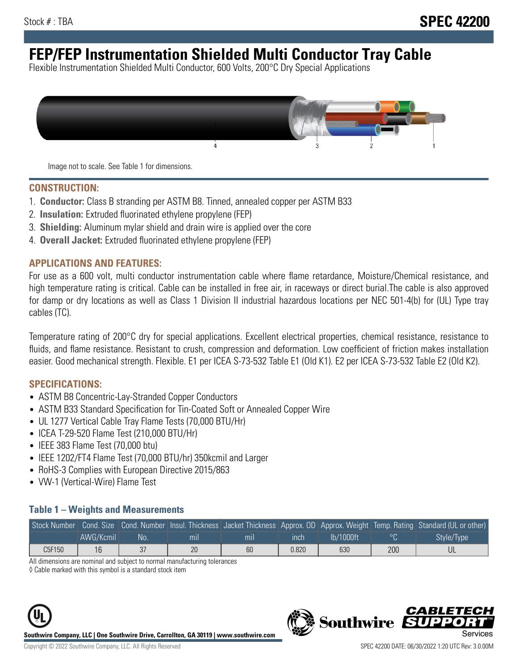# **FEP/FEP Instrumentation Shielded Multi Conductor Tray Cable**

Flexible Instrumentation Shielded Multi Conductor, 600 Volts, 200°C Dry Special Applications



Image not to scale. See Table 1 for dimensions.

#### **CONSTRUCTION:**

- 1. **Conductor:** Class B stranding per ASTM B8. Tinned, annealed copper per ASTM B33
- 2. **Insulation:** Extruded fluorinated ethylene propylene (FEP)
- 3. **Shielding:** Aluminum mylar shield and drain wire is applied over the core
- 4. **Overall Jacket:** Extruded fluorinated ethylene propylene (FEP)

#### **APPLICATIONS AND FEATURES:**

For use as a 600 volt, multi conductor instrumentation cable where flame retardance, Moisture/Chemical resistance, and high temperature rating is critical. Cable can be installed in free air, in raceways or direct burial.The cable is also approved for damp or dry locations as well as Class 1 Division II industrial hazardous locations per NEC 501-4(b) for (UL) Type tray cables (TC).

Temperature rating of 200°C dry for special applications. Excellent electrical properties, chemical resistance, resistance to fluids, and flame resistance. Resistant to crush, compression and deformation. Low coefficient of friction makes installation easier. Good mechanical strength. Flexible. E1 per ICEA S-73-532 Table E1 (Old K1). E2 per ICEA S-73-532 Table E2 (Old K2).

#### **SPECIFICATIONS:**

- ASTM B8 Concentric-Lay-Stranded Copper Conductors
- ASTM B33 Standard Specification for Tin-Coated Soft or Annealed Copper Wire
- UL 1277 Vertical Cable Tray Flame Tests (70,000 BTU/Hr)
- ICEA T-29-520 Flame Test (210,000 BTU/Hr)
- IEEE 383 Flame Test (70,000 btu)
- IEEE 1202/FT4 Flame Test (70,000 BTU/hr) 350kcmil and Larger
- RoHS-3 Complies with European Directive 2015/863
- VW-1 (Vertical-Wire) Flame Test

#### **Table 1 – Weights and Measurements**

|        |           |     |     |     |             |           |                 | Stock Number Cond. Size Cond. Number Insul. Thickness Jacket Thickness Approx. OD Approx. Weight Temp. Rating Standard (UL or other) |
|--------|-----------|-----|-----|-----|-------------|-----------|-----------------|--------------------------------------------------------------------------------------------------------------------------------------|
|        | AWG/Kcmil | .No | mil | mıl | <b>Inch</b> | lb/1000ft | $\circ$ $\circ$ | Style/Type                                                                                                                           |
| C5F150 | 16        | 37  | 20  | 60  | 0.820       | 630       | 200             |                                                                                                                                      |

All dimensions are nominal and subject to normal manufacturing tolerances

◊ Cable marked with this symbol is a standard stock item



**Southwire** 

CARLET